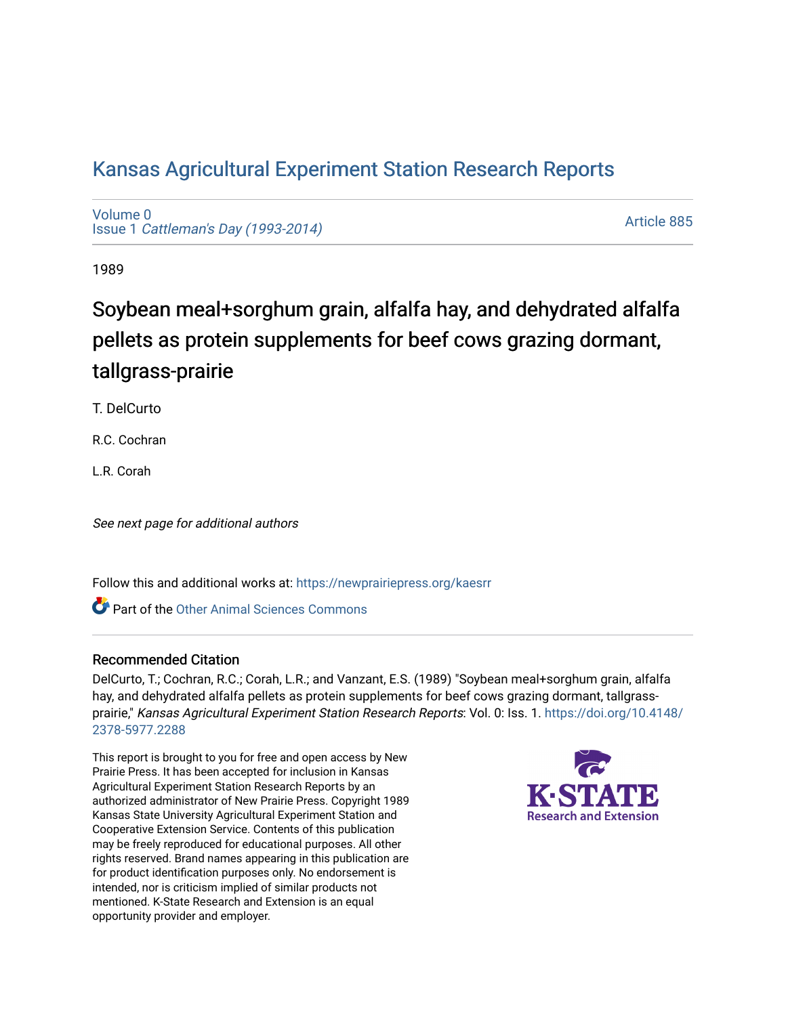## [Kansas Agricultural Experiment Station Research Reports](https://newprairiepress.org/kaesrr)

[Volume 0](https://newprairiepress.org/kaesrr/vol0) Issue 1 [Cattleman's Day \(1993-2014\)](https://newprairiepress.org/kaesrr/vol0/iss1) 

[Article 885](https://newprairiepress.org/kaesrr/vol0/iss1/885) 

1989

# Soybean meal+sorghum grain, alfalfa hay, and dehydrated alfalfa pellets as protein supplements for beef cows grazing dormant, tallgrass-prairie

T. DelCurto

R.C. Cochran

L.R. Corah

See next page for additional authors

Follow this and additional works at: [https://newprairiepress.org/kaesrr](https://newprairiepress.org/kaesrr?utm_source=newprairiepress.org%2Fkaesrr%2Fvol0%2Fiss1%2F885&utm_medium=PDF&utm_campaign=PDFCoverPages) 

**C** Part of the [Other Animal Sciences Commons](http://network.bepress.com/hgg/discipline/82?utm_source=newprairiepress.org%2Fkaesrr%2Fvol0%2Fiss1%2F885&utm_medium=PDF&utm_campaign=PDFCoverPages)

#### Recommended Citation

DelCurto, T.; Cochran, R.C.; Corah, L.R.; and Vanzant, E.S. (1989) "Soybean meal+sorghum grain, alfalfa hay, and dehydrated alfalfa pellets as protein supplements for beef cows grazing dormant, tallgrassprairie," Kansas Agricultural Experiment Station Research Reports: Vol. 0: Iss. 1. [https://doi.org/10.4148/](https://doi.org/10.4148/2378-5977.2288) [2378-5977.2288](https://doi.org/10.4148/2378-5977.2288) 

This report is brought to you for free and open access by New Prairie Press. It has been accepted for inclusion in Kansas Agricultural Experiment Station Research Reports by an authorized administrator of New Prairie Press. Copyright 1989 Kansas State University Agricultural Experiment Station and Cooperative Extension Service. Contents of this publication may be freely reproduced for educational purposes. All other rights reserved. Brand names appearing in this publication are for product identification purposes only. No endorsement is intended, nor is criticism implied of similar products not mentioned. K-State Research and Extension is an equal opportunity provider and employer.

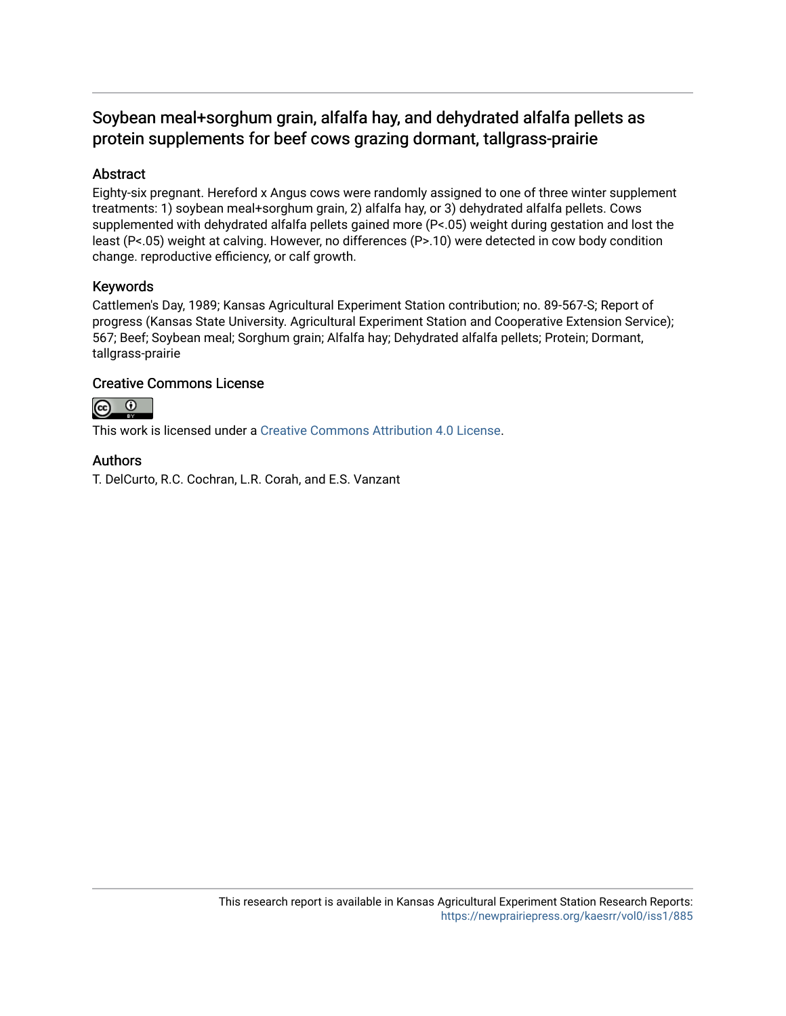### Soybean meal+sorghum grain, alfalfa hay, and dehydrated alfalfa pellets as protein supplements for beef cows grazing dormant, tallgrass-prairie

#### Abstract

Eighty-six pregnant. Hereford x Angus cows were randomly assigned to one of three winter supplement treatments: 1) soybean meal+sorghum grain, 2) alfalfa hay, or 3) dehydrated alfalfa pellets. Cows supplemented with dehydrated alfalfa pellets gained more (P<.05) weight during gestation and lost the least (P<.05) weight at calving. However, no differences (P>.10) were detected in cow body condition change. reproductive efficiency, or calf growth.

#### Keywords

Cattlemen's Day, 1989; Kansas Agricultural Experiment Station contribution; no. 89-567-S; Report of progress (Kansas State University. Agricultural Experiment Station and Cooperative Extension Service); 567; Beef; Soybean meal; Sorghum grain; Alfalfa hay; Dehydrated alfalfa pellets; Protein; Dormant, tallgrass-prairie

#### Creative Commons License



This work is licensed under a [Creative Commons Attribution 4.0 License](https://creativecommons.org/licenses/by/4.0/).

#### Authors

T. DelCurto, R.C. Cochran, L.R. Corah, and E.S. Vanzant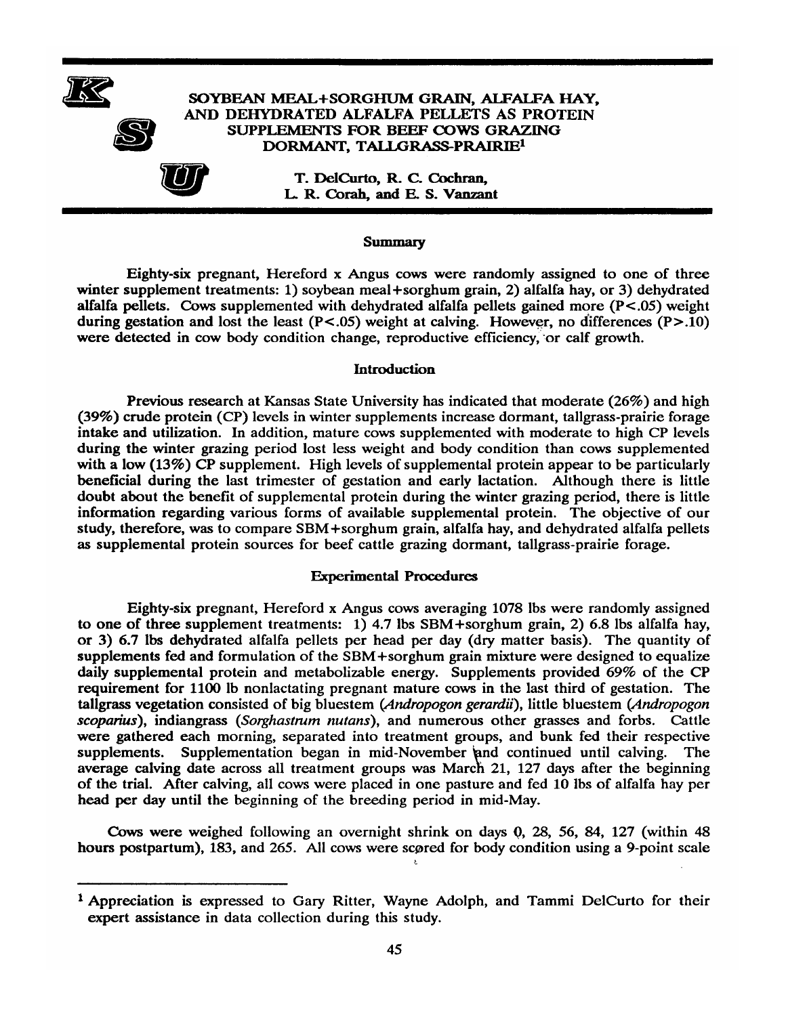



#### SOYBEAN MEAL+SORGHUM GRAIN, ALFALFA HAY, AND DEHYDRATED ALFALFA PELLETS AS PROTEIN SUPPLEMENTS FOR BEEF COWS GRAZING DORMANT, TALLGRASS-PRAIRIE<sup>1</sup>

T. DelCurto, R. C. Cochran, L. R. Corah, and E. S. Vanzant

#### **Summary**

Eighty-six pregnant, Hereford x Angus cows were randomly assigned to one of three winter supplement treatments: 1) soybean meal+sorghum grain, 2) alfalfa hay, or 3) dehydrated alfalfa pellets. Cows supplemented with dehydrated alfalfa pellets gained more  $(P<.05)$  weight during gestation and lost the least ( $P < .05$ ) weight at calving. However, no differences ( $P > .10$ ) were detected in cow body condition change, reproductive efficiency, or calf growth.

#### **Introduction**

Previous research at Kansas State University has indicated that moderate (26%) and high (39%) crude protein (CP) levels in winter supplements increase dormant, tallgrass-prairie forage intake and utilization. In addition, mature cows supplemented with moderate to high CP levels during the winter grazing period lost less weight and body condition than cows supplemented with a low  $(13\%)$  CP supplement. High levels of supplemental protein appear to be particularly beneficial during the last trimester of gestation and early lactation. Although there is little doubt about the benefit of supplemental protein during the winter grazing period, there is little information regarding various forms of available supplemental protein. The objective of our study, therefore, was to compare SBM+sorghum grain, alfalfa hay, and dehydrated alfalfa pellets as supplemental protein sources for beef cattle grazing dormant, tallgrass-prairie forage.

#### **Experimental Procedures**

Eighty-six pregnant, Hereford x Angus cows averaging 1078 lbs were randomly assigned to one of three supplement treatments:  $1)$  4.7 lbs SBM+sorghum grain, 2) 6.8 lbs alfalfa hay, or 3) 6.7 lbs dehydrated alfalfa pellets per head per day (dry matter basis). The quantity of supplements fed and formulation of the SBM+sorghum grain mixture were designed to equalize daily supplemental protein and metabolizable energy. Supplements provided 69% of the CP requirement for 1100 lb nonlactating pregnant mature cows in the last third of gestation. The tallgrass vegetation consisted of big bluestem (Andropogon gerardii), little bluestem (Andropogon scoparius), indiangrass (Sorghastrum nutans), and numerous other grasses and forbs. Cattle were gathered each morning, separated into treatment groups, and bunk fed their respective Supplementation began in mid-November and continued until calving. supplements. The average calving date across all treatment groups was March 21, 127 days after the beginning of the trial. After calving, all cows were placed in one pasture and fed 10 lbs of alfalfa hay per head per day until the beginning of the breeding period in mid-May.

Cows were weighed following an overnight shrink on days 0, 28, 56, 84, 127 (within 48 hours postpartum), 183, and 265. All cows were scored for body condition using a 9-point scale

 $\bar{\xi}$ 

<sup>&</sup>lt;sup>1</sup> Appreciation is expressed to Gary Ritter, Wayne Adolph, and Tammi DelCurto for their expert assistance in data collection during this study.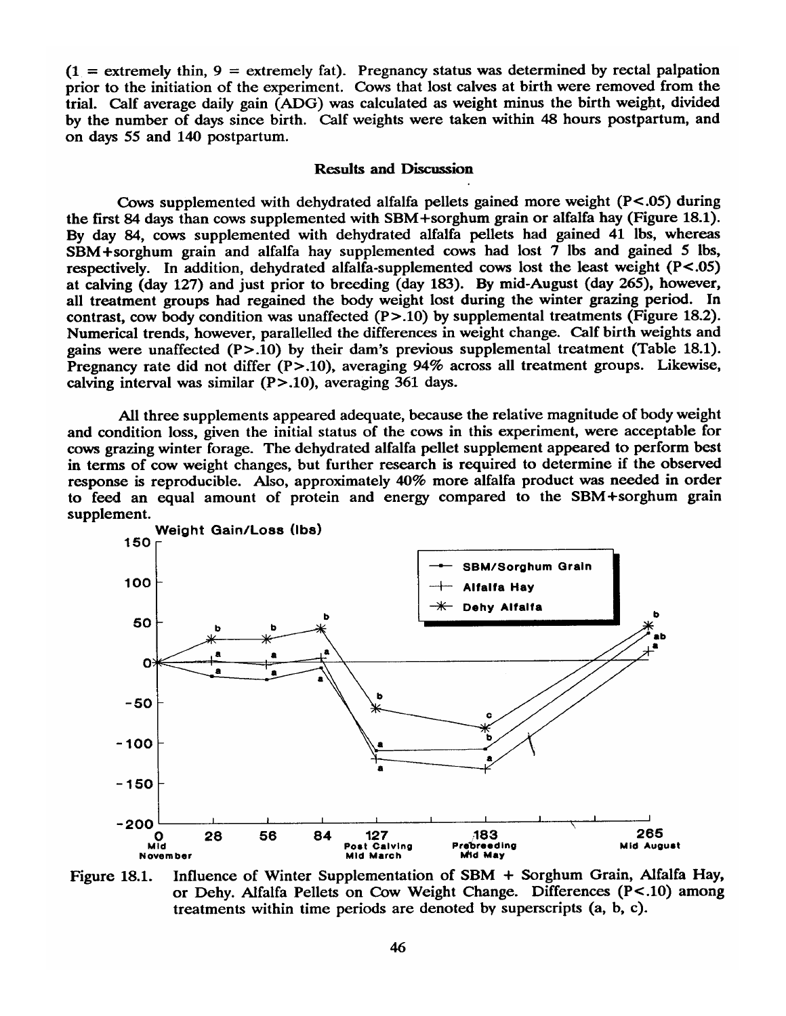$(1 =$  extremely thin,  $9 =$  extremely fat). Pregnancy status was determined by rectal palpation prior to the initiation of the experiment. Cows that lost calves at birth were removed from the trial. Calf average daily gain (ADG) was calculated as weight minus the birth weight, divided by the number of days since birth. Calf weights were taken within 48 hours postpartum, and on days 55 and 140 postpartum.

#### **Results and Discussion**

Cows supplemented with dehydrated alfalfa pellets gained more weight  $(P<.05)$  during the first 84 days than cows supplemented with SBM+sorghum grain or alfalfa hay (Figure 18.1). By day 84, cows supplemented with dehydrated alfalfa pellets had gained 41 lbs, whereas SBM+sorghum grain and alfalfa hay supplemented cows had lost 7 lbs and gained 5 lbs, respectively. In addition, dehydrated alfalfa-supplemented cows lost the least weight (P<.05) at calving (day 127) and just prior to breeding (day 183). By mid-August (day 265), however, all treatment groups had regained the body weight lost during the winter grazing period. In contrast, cow body condition was unaffected  $(P>10)$  by supplemental treatments (Figure 18.2). Numerical trends, however, parallelled the differences in weight change. Calf birth weights and gains were unaffected  $(P > .10)$  by their dam's previous supplemental treatment (Table 18.1). Pregnancy rate did not differ  $(P > .10)$ , averaging 94% across all treatment groups. Likewise, calving interval was similar (P>.10), averaging 361 days.

All three supplements appeared adequate, because the relative magnitude of body weight and condition loss, given the initial status of the cows in this experiment, were acceptable for cows grazing winter forage. The dehydrated alfalfa pellet supplement appeared to perform best in terms of cow weight changes, but further research is required to determine if the observed response is reproducible. Also, approximately 40% more alfalfa product was needed in order to feed an equal amount of protein and energy compared to the SBM+sorghum grain supplement.



Influence of Winter Supplementation of SBM + Sorghum Grain, Alfalfa Hay, Figure 18.1. or Dehy. Alfalfa Pellets on Cow Weight Change. Differences (P<.10) among treatments within time periods are denoted by superscripts (a, b, c).